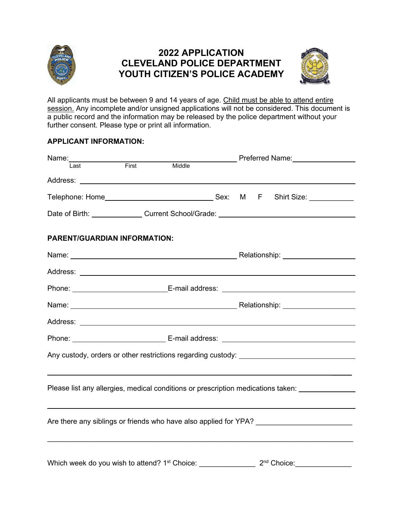

# **2022 APPLICATION CLEVELAND POLICE DEPARTMENT YOUTH CITIZEN'S POLICE ACADEMY**



All applicants must be between 9 and 14 years of age. Child must be able to attend entire session. Any incomplete and/or unsigned applications will not be considered. This document is a public record and the information may be released by the police department without your further consent. Please type or print all information.

## **APPLICANT INFORMATION:**

| Name:<br>last First                                                              |                                                                                                                                                                                                                               |        |  |  |  | <b>Example 2 Preferred Name:</b> Preferred Name:                                                                                                                                                                                     |
|----------------------------------------------------------------------------------|-------------------------------------------------------------------------------------------------------------------------------------------------------------------------------------------------------------------------------|--------|--|--|--|--------------------------------------------------------------------------------------------------------------------------------------------------------------------------------------------------------------------------------------|
|                                                                                  |                                                                                                                                                                                                                               | Middle |  |  |  |                                                                                                                                                                                                                                      |
|                                                                                  |                                                                                                                                                                                                                               |        |  |  |  |                                                                                                                                                                                                                                      |
|                                                                                  |                                                                                                                                                                                                                               |        |  |  |  |                                                                                                                                                                                                                                      |
|                                                                                  |                                                                                                                                                                                                                               |        |  |  |  | Date of Birth: ________________Current School/Grade: ___________________________                                                                                                                                                     |
| PARENT/GUARDIAN INFORMATION:                                                     |                                                                                                                                                                                                                               |        |  |  |  |                                                                                                                                                                                                                                      |
|                                                                                  | Name: Name: Name: Name: Name: Name: Name: Name: Name: Name: Name: Name: Name: Name: Name: Name: Name: Name: Name: Name: Name: Name: Name: Name: Name: Name: Name: Name: Name: Name: Name: Name: Name: Name: Name: Name: Name: |        |  |  |  |                                                                                                                                                                                                                                      |
|                                                                                  |                                                                                                                                                                                                                               |        |  |  |  |                                                                                                                                                                                                                                      |
|                                                                                  |                                                                                                                                                                                                                               |        |  |  |  | Phone: <u>New York: E-mail address: New York: New York: New York: New York: New York: New York: New York: New York: New York: New York: New York: New York: New York: New York: New York: New York: New York: New York: New York</u> |
|                                                                                  |                                                                                                                                                                                                                               |        |  |  |  |                                                                                                                                                                                                                                      |
|                                                                                  |                                                                                                                                                                                                                               |        |  |  |  |                                                                                                                                                                                                                                      |
|                                                                                  |                                                                                                                                                                                                                               |        |  |  |  | Phone: <u>New York: New York: New York: New York: New York: New York: New York: New York: New York: New York: New York: New York: New York: New York: New York: New York: New York: New York: New York: New York: New York: New </u> |
| Any custody, orders or other restrictions regarding custody: ___________________ |                                                                                                                                                                                                                               |        |  |  |  |                                                                                                                                                                                                                                      |
|                                                                                  |                                                                                                                                                                                                                               |        |  |  |  |                                                                                                                                                                                                                                      |
|                                                                                  |                                                                                                                                                                                                                               |        |  |  |  | Please list any allergies, medical conditions or prescription medications taken:                                                                                                                                                     |
|                                                                                  |                                                                                                                                                                                                                               |        |  |  |  |                                                                                                                                                                                                                                      |
|                                                                                  |                                                                                                                                                                                                                               |        |  |  |  | Are there any siblings or friends who have also applied for YPA? ________________                                                                                                                                                    |
|                                                                                  |                                                                                                                                                                                                                               |        |  |  |  |                                                                                                                                                                                                                                      |
| Which week do you wish to attend? 1 <sup>st</sup> Choice:                        |                                                                                                                                                                                                                               |        |  |  |  | 2 <sup>nd</sup> Choice:                                                                                                                                                                                                              |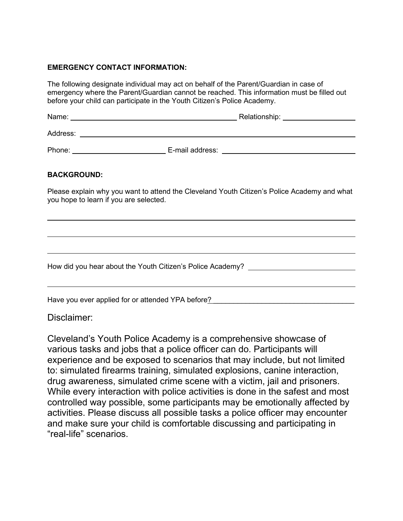### **EMERGENCY CONTACT INFORMATION:**

The following designate individual may act on behalf of the Parent/Guardian in case of emergency where the Parent/Guardian cannot be reached. This information must be filled out before your child can participate in the Youth Citizen's Police Academy.

| Name:    | Relationship:   |
|----------|-----------------|
| Address: |                 |
| Phone:   | E-mail address: |

#### **BACKGROUND:**

 $\overline{\phantom{a}}$ 

Please explain why you want to attend the Cleveland Youth Citizen's Police Academy and what you hope to learn if you are selected.

How did you hear about the Youth Citizen's Police Academy?

Have you ever applied for or attended YPA before? \_\_\_\_\_\_\_\_\_\_\_\_\_\_\_\_\_\_\_\_\_\_\_\_\_\_\_\_\_\_

## Disclaimer:

Cleveland's Youth Police Academy is a comprehensive showcase of various tasks and jobs that a police officer can do. Participants will experience and be exposed to scenarios that may include, but not limited to: simulated firearms training, simulated explosions, canine interaction, drug awareness, simulated crime scene with a victim, jail and prisoners. While every interaction with police activities is done in the safest and most controlled way possible, some participants may be emotionally affected by activities. Please discuss all possible tasks a police officer may encounter and make sure your child is comfortable discussing and participating in "real-life" scenarios.